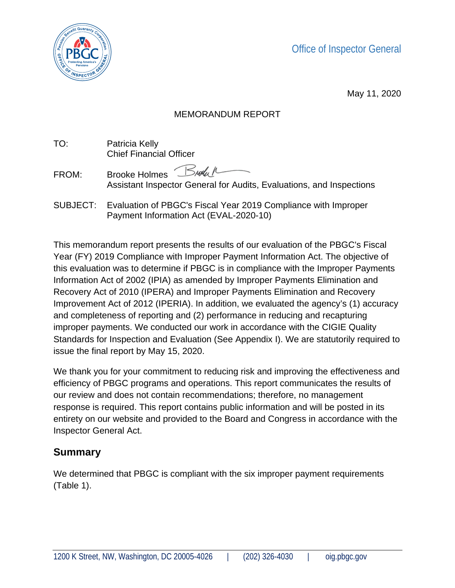Office of Inspector General



May 11, 2020

#### MEMORANDUM REPORT

TO: Patricia Kelly Chief Financial Officer

FROM: Brooke Holmes Breach Assistant Inspector General for Audits, Evaluations, and Inspections

SUBJECT: Evaluation of PBGC's Fiscal Year 2019 Compliance with Improper Payment Information Act (EVAL-2020-10)

This memorandum report presents the results of our evaluation of the PBGC's Fiscal Year (FY) 2019 Compliance with Improper Payment Information Act. The objective of this evaluation was to determine if PBGC is in compliance with the Improper Payments Information Act of 2002 (IPIA) as amended by Improper Payments Elimination and Recovery Act of 2010 (IPERA) and Improper Payments Elimination and Recovery Improvement Act of 2012 (IPERIA). In addition, we evaluated the agency's (1) accuracy and completeness of reporting and (2) performance in reducing and recapturing improper payments. We conducted our work in accordance with the CIGIE Quality Standards for Inspection and Evaluation (See Appendix I). We are statutorily required to issue the final report by May 15, 2020.

We thank you for your commitment to reducing risk and improving the effectiveness and efficiency of PBGC programs and operations. This report communicates the results of our review and does not contain recommendations; therefore, no management response is required. This report contains public information and will be posted in its entirety on our website and provided to the Board and Congress in accordance with the Inspector General Act.

### **Summary**

We determined that PBGC is compliant with the six improper payment requirements (Table 1).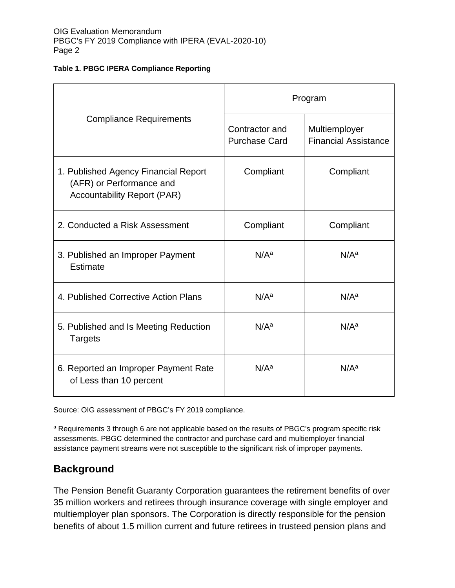#### **Table 1. PBGC IPERA Compliance Reporting**

| <b>Compliance Requirements</b>                                                                         | Program                                |                                              |
|--------------------------------------------------------------------------------------------------------|----------------------------------------|----------------------------------------------|
|                                                                                                        | Contractor and<br><b>Purchase Card</b> | Multiemployer<br><b>Financial Assistance</b> |
| 1. Published Agency Financial Report<br>(AFR) or Performance and<br><b>Accountability Report (PAR)</b> | Compliant                              | Compliant                                    |
| 2. Conducted a Risk Assessment                                                                         | Compliant                              | Compliant                                    |
| 3. Published an Improper Payment<br>Estimate                                                           | N/A <sup>a</sup>                       | N/A <sup>a</sup>                             |
| 4. Published Corrective Action Plans                                                                   | N/A <sup>a</sup>                       | N/A <sup>a</sup>                             |
| 5. Published and Is Meeting Reduction<br><b>Targets</b>                                                | N/A <sup>a</sup>                       | N/A <sup>a</sup>                             |
| 6. Reported an Improper Payment Rate<br>of Less than 10 percent                                        | N/A <sup>a</sup>                       | N/A <sup>a</sup>                             |

Source: OIG assessment of PBGC's FY 2019 compliance.

a Requirements 3 through 6 are not applicable based on the results of PBGC's program specific risk assessments. PBGC determined the contractor and purchase card and multiemployer financial assistance payment streams were not susceptible to the significant risk of improper payments.

#### **Background**

The Pension Benefit Guaranty Corporation guarantees the retirement benefits of over 35 million workers and retirees through insurance coverage with single employer and multiemployer plan sponsors. The Corporation is directly responsible for the pension benefits of about 1.5 million current and future retirees in trusteed pension plans and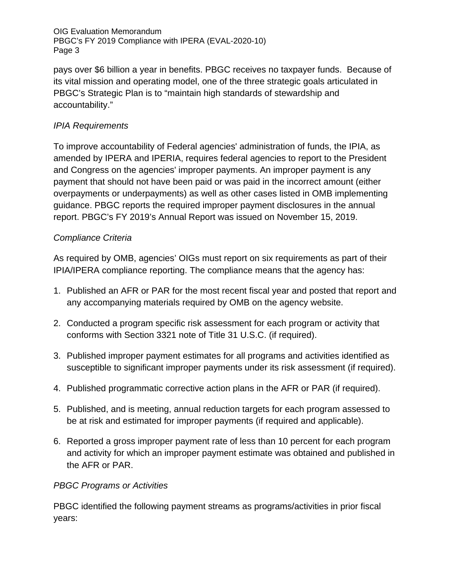pays over \$6 billion a year in benefits. PBGC receives no taxpayer funds. Because of its vital mission and operating model, one of the three strategic goals articulated in PBGC's Strategic Plan is to "maintain high standards of stewardship and accountability."

#### *IPIA Requirements*

To improve accountability of Federal agencies' administration of funds, the IPIA, as amended by IPERA and IPERIA, requires federal agencies to report to the President and Congress on the agencies' improper payments. An improper payment is any payment that should not have been paid or was paid in the incorrect amount (either overpayments or underpayments) as well as other cases listed in OMB implementing guidance. PBGC reports the required improper payment disclosures in the annual report. PBGC's FY 2019's Annual Report was issued on November 15, 2019.

#### *Compliance Criteria*

As required by OMB, agencies' OIGs must report on six requirements as part of their IPIA/IPERA compliance reporting. The compliance means that the agency has:

- 1. Published an AFR or PAR for the most recent fiscal year and posted that report and any accompanying materials required by OMB on the agency website.
- 2. Conducted a program specific risk assessment for each program or activity that conforms with Section 3321 note of Title 31 U.S.C. (if required).
- 3. Published improper payment estimates for all programs and activities identified as susceptible to significant improper payments under its risk assessment (if required).
- 4. Published programmatic corrective action plans in the AFR or PAR (if required).
- 5. Published, and is meeting, annual reduction targets for each program assessed to be at risk and estimated for improper payments (if required and applicable).
- 6. Reported a gross improper payment rate of less than 10 percent for each program and activity for which an improper payment estimate was obtained and published in the AFR or PAR.

#### *PBGC Programs or Activities*

PBGC identified the following payment streams as programs/activities in prior fiscal years: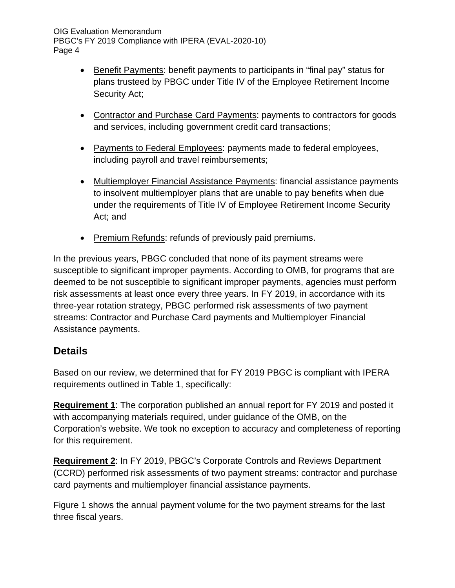- Benefit Payments: benefit payments to participants in "final pay" status for plans trusteed by PBGC under Title IV of the Employee Retirement Income Security Act;
- Contractor and Purchase Card Payments: payments to contractors for goods and services, including government credit card transactions;
- Payments to Federal Employees: payments made to federal employees, including payroll and travel reimbursements;
- Multiemployer Financial Assistance Payments: financial assistance payments to insolvent multiemployer plans that are unable to pay benefits when due under the requirements of Title IV of Employee Retirement Income Security Act; and
- Premium Refunds: refunds of previously paid premiums.

In the previous years, PBGC concluded that none of its payment streams were susceptible to significant improper payments. According to OMB, for programs that are deemed to be not susceptible to significant improper payments, agencies must perform risk assessments at least once every three years. In FY 2019, in accordance with its three-year rotation strategy, PBGC performed risk assessments of two payment streams: Contractor and Purchase Card payments and Multiemployer Financial Assistance payments.

### **Details**

Based on our review, we determined that for FY 2019 PBGC is compliant with IPERA requirements outlined in Table 1, specifically:

**Requirement 1**: The corporation published an annual report for FY 2019 and posted it with accompanying materials required, under guidance of the OMB, on the Corporation's website. We took no exception to accuracy and completeness of reporting for this requirement.

**Requirement 2**: In FY 2019, PBGC's Corporate Controls and Reviews Department (CCRD) performed risk assessments of two payment streams: contractor and purchase card payments and multiemployer financial assistance payments.

Figure 1 shows the annual payment volume for the two payment streams for the last three fiscal years.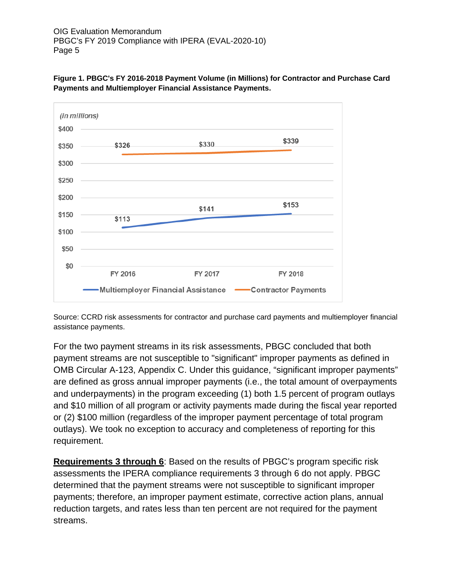

**Figure 1. PBGC's FY 2016-2018 Payment Volume (in Millions) for Contractor and Purchase Card Payments and Multiemployer Financial Assistance Payments.** 

Source: CCRD risk assessments for contractor and purchase card payments and multiemployer financial assistance payments.

For the two payment streams in its risk assessments, PBGC concluded that both payment streams are not susceptible to "significant" improper payments as defined in OMB Circular A-123, Appendix C. Under this guidance, "significant improper payments" are defined as gross annual improper payments (i.e., the total amount of overpayments and underpayments) in the program exceeding (1) both 1.5 percent of program outlays and \$10 million of all program or activity payments made during the fiscal year reported or (2) \$100 million (regardless of the improper payment percentage of total program outlays). We took no exception to accuracy and completeness of reporting for this requirement.

**Requirements 3 through 6**: Based on the results of PBGC's program specific risk assessments the IPERA compliance requirements 3 through 6 do not apply. PBGC determined that the payment streams were not susceptible to significant improper payments; therefore, an improper payment estimate, corrective action plans, annual reduction targets, and rates less than ten percent are not required for the payment streams.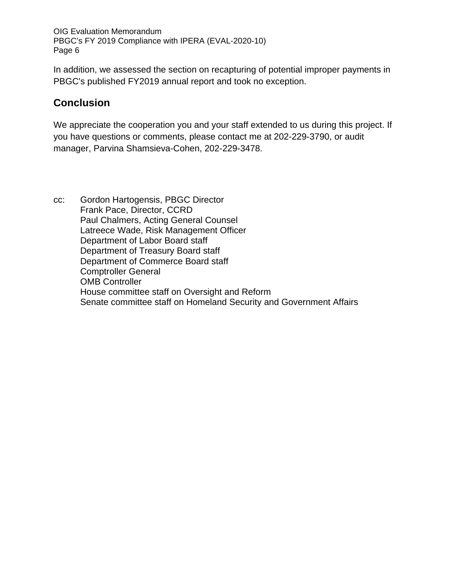In addition, we assessed the section on recapturing of potential improper payments in PBGC's published FY2019 annual report and took no exception.

#### **Conclusion**

We appreciate the cooperation you and your staff extended to us during this project. If you have questions or comments, please contact me at 202-229-3790, or audit manager, Parvina Shamsieva-Cohen, 202-229-3478.

cc: Gordon Hartogensis, PBGC Director Frank Pace, Director, CCRD Paul Chalmers, Acting General Counsel Latreece Wade, Risk Management Officer Department of Labor Board staff Department of Treasury Board staff Department of Commerce Board staff Comptroller General OMB Controller House committee staff on Oversight and Reform Senate committee staff on Homeland Security and Government Affairs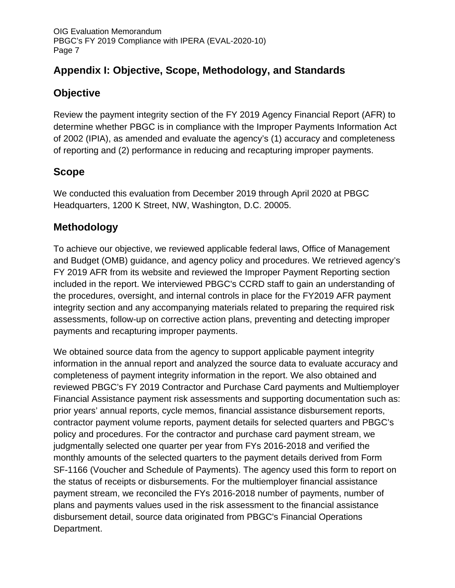### **Appendix I: Objective, Scope, Methodology, and Standards**

### **Objective**

Review the payment integrity section of the FY 2019 Agency Financial Report (AFR) to determine whether PBGC is in compliance with the Improper Payments Information Act of 2002 (IPIA), as amended and evaluate the agency's (1) accuracy and completeness of reporting and (2) performance in reducing and recapturing improper payments.

### **Scope**

We conducted this evaluation from December 2019 through April 2020 at PBGC Headquarters, 1200 K Street, NW, Washington, D.C. 20005.

### **Methodology**

To achieve our objective, we reviewed applicable federal laws, Office of Management and Budget (OMB) guidance, and agency policy and procedures. We retrieved agency's FY 2019 AFR from its website and reviewed the Improper Payment Reporting section included in the report. We interviewed PBGC's CCRD staff to gain an understanding of the procedures, oversight, and internal controls in place for the FY2019 AFR payment integrity section and any accompanying materials related to preparing the required risk assessments, follow-up on corrective action plans, preventing and detecting improper payments and recapturing improper payments.

We obtained source data from the agency to support applicable payment integrity information in the annual report and analyzed the source data to evaluate accuracy and completeness of payment integrity information in the report. We also obtained and reviewed PBGC's FY 2019 Contractor and Purchase Card payments and Multiemployer Financial Assistance payment risk assessments and supporting documentation such as: prior years' annual reports, cycle memos, financial assistance disbursement reports, contractor payment volume reports, payment details for selected quarters and PBGC's policy and procedures. For the contractor and purchase card payment stream, we judgmentally selected one quarter per year from FYs 2016-2018 and verified the monthly amounts of the selected quarters to the payment details derived from Form SF-1166 (Voucher and Schedule of Payments). The agency used this form to report on the status of receipts or disbursements. For the multiemployer financial assistance payment stream, we reconciled the FYs 2016-2018 number of payments, number of plans and payments values used in the risk assessment to the financial assistance disbursement detail, source data originated from PBGC's Financial Operations Department.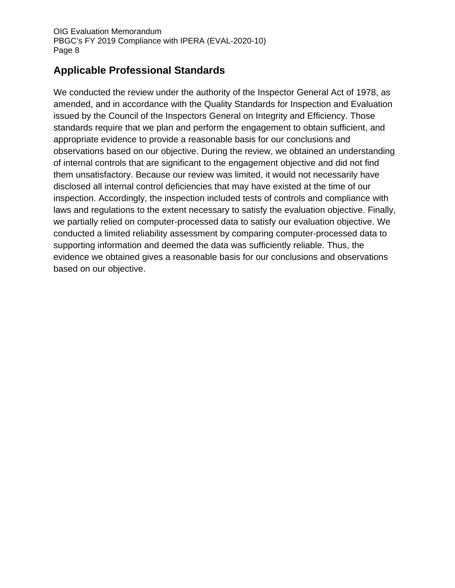### **Applicable Professional Standards**

We conducted the review under the authority of the Inspector General Act of 1978, as amended, and in accordance with the Quality Standards for Inspection and Evaluation issued by the Council of the Inspectors General on Integrity and Efficiency. Those standards require that we plan and perform the engagement to obtain sufficient, and appropriate evidence to provide a reasonable basis for our conclusions and observations based on our objective. During the review, we obtained an understanding of internal controls that are significant to the engagement objective and did not find them unsatisfactory. Because our review was limited, it would not necessarily have disclosed all internal control deficiencies that may have existed at the time of our inspection. Accordingly, the inspection included tests of controls and compliance with laws and regulations to the extent necessary to satisfy the evaluation objective. Finally, we partially relied on computer-processed data to satisfy our evaluation objective. We conducted a limited reliability assessment by comparing computer-processed data to supporting information and deemed the data was sufficiently reliable. Thus, the evidence we obtained gives a reasonable basis for our conclusions and observations based on our objective.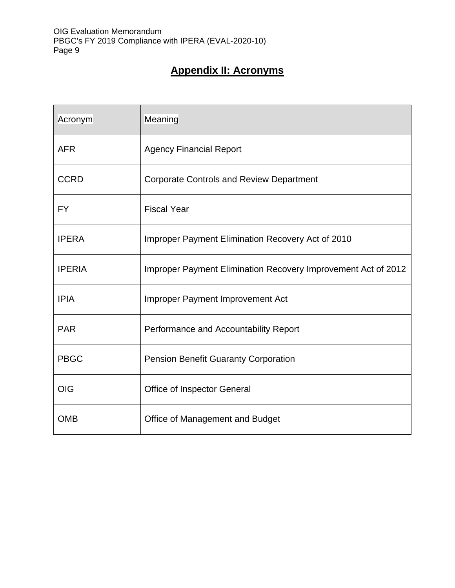## **Appendix II: Acronyms**

| Acronym       | Meaning                                                       |
|---------------|---------------------------------------------------------------|
| <b>AFR</b>    | <b>Agency Financial Report</b>                                |
| <b>CCRD</b>   | <b>Corporate Controls and Review Department</b>               |
| <b>FY</b>     | <b>Fiscal Year</b>                                            |
| <b>IPERA</b>  | Improper Payment Elimination Recovery Act of 2010             |
| <b>IPERIA</b> | Improper Payment Elimination Recovery Improvement Act of 2012 |
| <b>IPIA</b>   | Improper Payment Improvement Act                              |
| <b>PAR</b>    | Performance and Accountability Report                         |
| <b>PBGC</b>   | <b>Pension Benefit Guaranty Corporation</b>                   |
| <b>OIG</b>    | Office of Inspector General                                   |
| <b>OMB</b>    | Office of Management and Budget                               |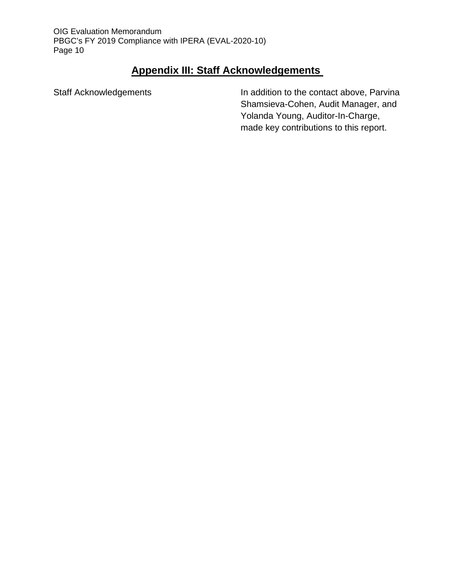# **Appendix III: Staff Acknowledgements**

Staff Acknowledgements **In addition to the contact above, Parvina** Shamsieva-Cohen, Audit Manager, and Yolanda Young, Auditor-In-Charge, made key contributions to this report.